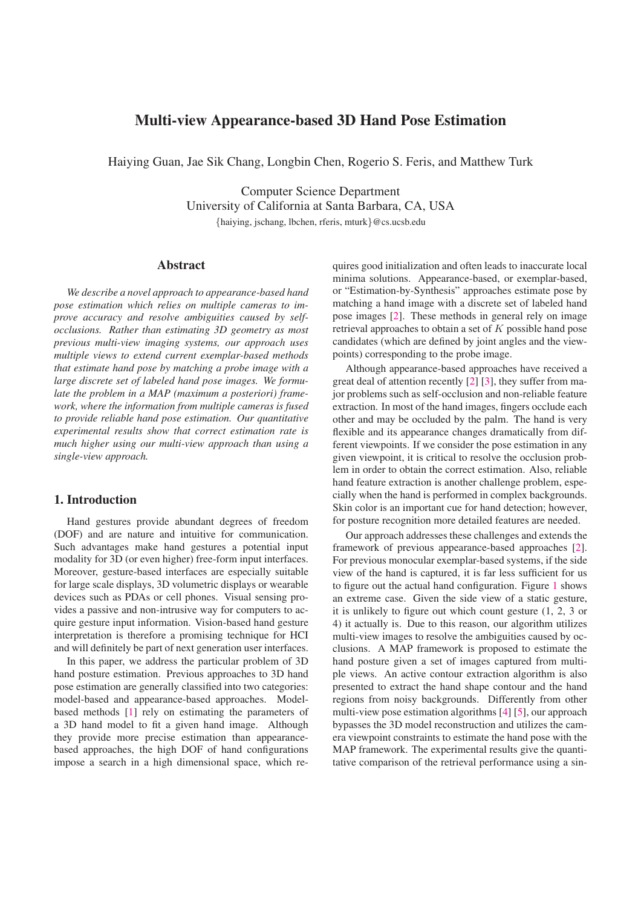# **Multi-view Appearance-based 3D Hand Pose Estimation**

Haiying Guan, Jae Sik Chang, Longbin Chen, Rogerio S. Feris, and Matthew Turk

Computer Science Department University of California at Santa Barbara, CA, USA *{*haiying, jschang, lbchen, rferis, mturk*}*@cs.ucsb.edu

### **Abstract**

*We describe a novel approach to appearance-based hand pose estimation which relies on multiple cameras to improve accuracy and resolve ambiguities caused by selfocclusions. Rather than estimating 3D geometry as most previous multi-view imaging systems, our approach uses multiple views to extend current exemplar-based methods that estimate hand pose by matching a probe image with a large discrete set of labeled hand pose images. We formulate the problem in a MAP (maximum a posteriori) framework, where the information from multiple cameras is fused to provide reliable hand pose estimation. Our quantitative experimental results show that correct estimation rate is much higher using our multi-view approach than using a single-view approach.*

### **1. Introduction**

Hand gestures provide abundant degrees of freedom (DOF) and are nature and intuitive for communication. Such advantages make hand gestures a potential input modality for 3D (or even higher) free-form input interfaces. Moreover, gesture-based interfaces are especially suitable for large scale displays, 3D volumetric displays or wearable devices such as PDAs or cell phones. Visual sensing provides a passive and non-intrusive way for computers to acquire gesture input information. Vision-based hand gesture interpretation is therefore a promising technique for HCI and will definitely be part of next generation user interfaces.

In this paper, we address the particular problem of 3D hand posture estimation. Previous approaches to 3D hand pose estimation are generally classified into two categories: model-based and appearance-based approaches. Modelbased methods [1] rely on estimating the parameters of a 3D hand model to fit a given hand image. Although they provide more precise estimation than appearancebased approaches, the high DOF of hand configurations impose a search in a high dimensional space, which requires good initialization and often leads to inaccurate local minima solutions. Appearance-based, or exemplar-based, or "Estimation-by-Synthesis" approaches estimate pose by matching a hand image with a discrete set of labeled hand pose images [2]. These methods in general rely on image retrieval approaches to obtain a set of K possible hand pose candidates (which are defined by joint angles and the viewpoints) corresponding to the probe image.

Although appearance-based approaches have received a great deal of attention recently [2] [3], they suffer from major problems such as self-occlusion and non-reliable feature extraction. In most of the hand images, fingers occlude each other and may be occluded by the palm. The hand is very flexible and its appearance changes dramatically from different viewpoints. If we consider the pose estimation in any given viewpoint, it is critical to resolve the occlusion problem in order to obtain the correct estimation. Also, reliable hand feature extraction is another challenge problem, especially when the hand is performed in complex backgrounds. Skin color is an important cue for hand detection; however, for posture recognition more detailed features are needed.

Our approach addresses these challenges and extends the framework of previous appearance-based approaches [2]. For previous monocular exemplar-based systems, if the side view of the hand is captured, it is far less sufficient for us to figure out the actual hand configuration. Figure 1 shows an extreme case. Given the side view of a static gesture, it is unlikely to figure out which count gesture (1, 2, 3 or 4) it actually is. Due to this reason, our algorithm utilizes multi-view images to resolve the ambiguities caused by occlusions. A MAP framework is proposed to estimate the hand posture given a set of images captured from multiple views. An active contour extraction algorithm is also presented to extract the hand shape contour and the hand regions from noisy backgrounds. Differently from other multi-view pose estimation algorithms [4] [5], our approach bypasses the 3D model reconstruction and utilizes the camera viewpoint constraints to estimate the hand pose with the MAP framework. The experimental results give the quantitative comparison of the retrieval performance using a sin-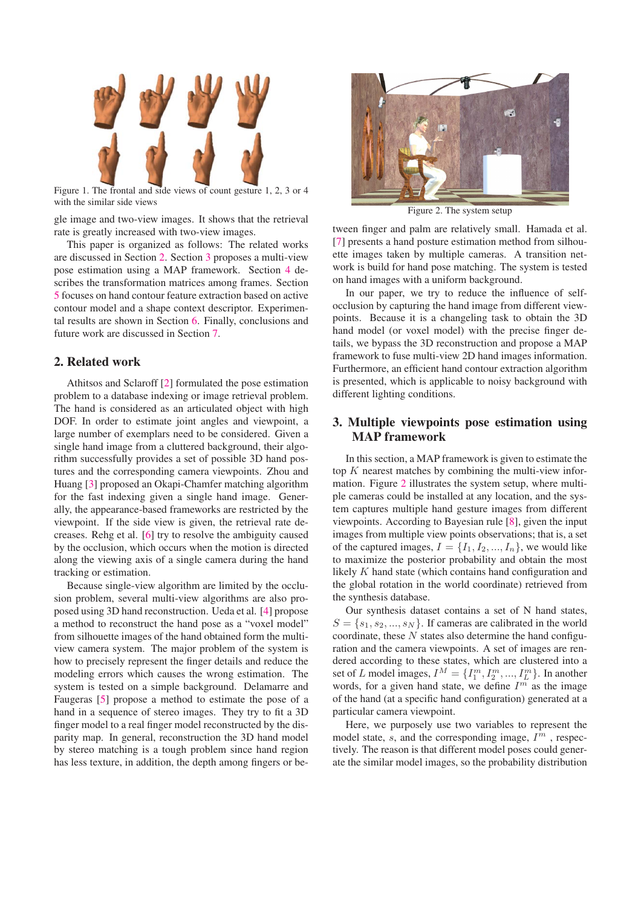

Figure 1. The frontal and side views of count gesture 1, 2, 3 or 4 with the similar side views

gle image and two-view images. It shows that the retrieval rate is greatly increased with two-view images.

This paper is organized as follows: The related works are discussed in Section 2. Section 3 proposes a multi-view pose estimation using a MAP framework. Section 4 describes the transformation matrices among frames. Section 5 focuses on hand contour feature extraction based on active contour model and a shape context descriptor. Experimental results are shown in Section 6. Finally, conclusions and future work are discussed in Section 7.

### **2. Related work**

Athitsos and Sclaroff [2] formulated the pose estimation problem to a database indexing or image retrieval problem. The hand is considered as an articulated object with high DOF. In order to estimate joint angles and viewpoint, a large number of exemplars need to be considered. Given a single hand image from a cluttered background, their algorithm successfully provides a set of possible 3D hand postures and the corresponding camera viewpoints. Zhou and Huang [3] proposed an Okapi-Chamfer matching algorithm for the fast indexing given a single hand image. Generally, the appearance-based frameworks are restricted by the viewpoint. If the side view is given, the retrieval rate decreases. Rehg et al. [6] try to resolve the ambiguity caused by the occlusion, which occurs when the motion is directed along the viewing axis of a single camera during the hand tracking or estimation.

Because single-view algorithm are limited by the occlusion problem, several multi-view algorithms are also proposed using 3D hand reconstruction. Ueda et al. [4] propose a method to reconstruct the hand pose as a "voxel model" from silhouette images of the hand obtained form the multiview camera system. The major problem of the system is how to precisely represent the finger details and reduce the modeling errors which causes the wrong estimation. The system is tested on a simple background. Delamarre and Faugeras [5] propose a method to estimate the pose of a hand in a sequence of stereo images. They try to fit a 3D finger model to a real finger model reconstructed by the disparity map. In general, reconstruction the 3D hand model by stereo matching is a tough problem since hand region has less texture, in addition, the depth among fingers or be-



Figure 2. The system setup

tween finger and palm are relatively small. Hamada et al. [7] presents a hand posture estimation method from silhouette images taken by multiple cameras. A transition network is build for hand pose matching. The system is tested on hand images with a uniform background.

In our paper, we try to reduce the influence of selfocclusion by capturing the hand image from different viewpoints. Because it is a changeling task to obtain the 3D hand model (or voxel model) with the precise finger details, we bypass the 3D reconstruction and propose a MAP framework to fuse multi-view 2D hand images information. Furthermore, an efficient hand contour extraction algorithm is presented, which is applicable to noisy background with different lighting conditions.

# **3. Multiple viewpoints pose estimation using MAP framework**

In this section, a MAP framework is given to estimate the top  $K$  nearest matches by combining the multi-view information. Figure 2 illustrates the system setup, where multiple cameras could be installed at any location, and the system captures multiple hand gesture images from different viewpoints. According to Bayesian rule [8], given the input images from multiple view points observations; that is, a set of the captured images,  $I = \{I_1, I_2, ..., I_n\}$ , we would like to maximize the posterior probability and obtain the most likely K hand state (which contains hand configuration and the global rotation in the world coordinate) retrieved from the synthesis database.

Our synthesis dataset contains a set of N hand states,  $S = \{s_1, s_2, ..., s_N\}$ . If cameras are calibrated in the world coordinate, these  $N$  states also determine the hand configuration and the camera viewpoints. A set of images are rendered according to these states, which are clustered into a set of L model images,  $I^M = \{I_1^m, I_2^m, ..., I_L^m\}$ . In another words for a given hand state we define  $I^m$  as the image words, for a given hand state, we define  $I<sup>m</sup>$  as the image of the hand (at a specific hand configuration) generated at a particular camera viewpoint.

Here, we purposely use two variables to represent the model state, s, and the corresponding image,  $I<sup>m</sup>$ , respectively. The reason is that different model poses could generate the similar model images, so the probability distribution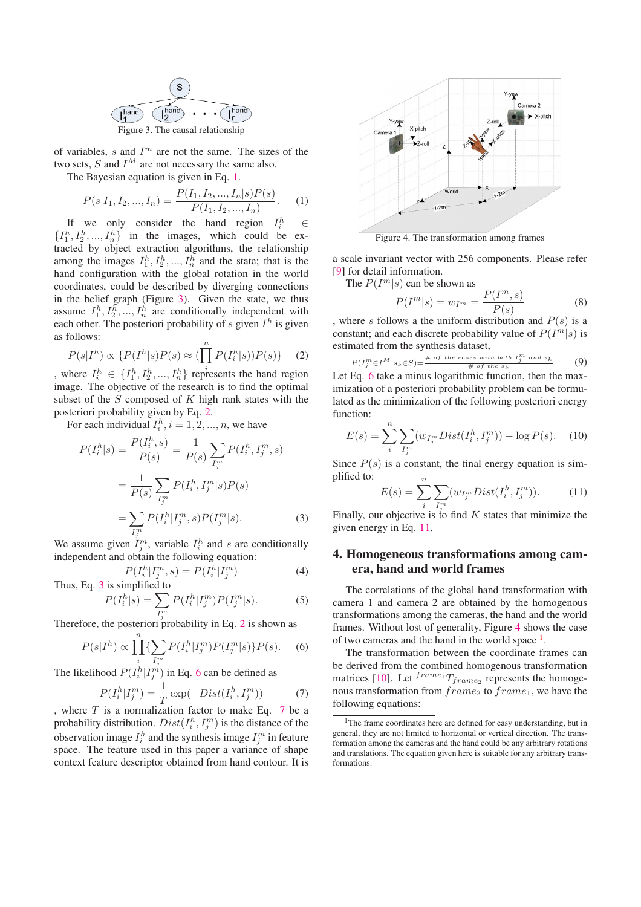

of variables,  $s$  and  $I<sup>m</sup>$  are not the same. The sizes of the two sets,  $S$  and  $I^M$  are not necessary the same also.

The Bayesian equation is given in Eq. 1.

$$
P(s|I_1, I_2, ..., I_n) = \frac{P(I_1, I_2, ..., I_n|s)P(s)}{P(I_1, I_2, ..., I_n)}.
$$
 (1)  
If we only consider the hand region  $I_i^h \in$ 

 $\{I_1^h, I_2^h, ..., I_n^h\}$  in the images, which could be extracted by object extraction algorithms, the relationship among the images  $I_1^h, I_2^h, ..., I_n^h$  and the state; that is the hand configuration with the global rotation in the world hand configuration with the global rotation in the world coordinates, could be described by diverging connections in the belief graph (Figure 3). Given the state, we thus assume  $I_1^h$ ,  $I_2^h$ , ...,  $I_n^h$  are conditionally independent with each other. The posterior probability of equiven  $I^h$  is given each other. The posteriori probability of  $s$  given  $I<sup>h</sup>$  is given as follows:

$$
P(s|I^h) \propto \{P(I^h|s)P(s) \approx (\prod_{i=1}^n P(I_i^h|s))P(s)\} \tag{2}
$$

where  $I_i^h \in \{I_1^h, I_2^h, ..., I_n^h\}$  represents the hand region<br>image. The objective of the research is to find the optimal image. The objective of the research is to find the optimal subset of the  $S$  composed of  $K$  high rank states with the posteriori probability given by Eq. 2.

For each individual  $I_i^h$ ,  $i = 1, 2, ..., n$ , we have

$$
P(I_i^h|s) = \frac{P(I_i^h, s)}{P(s)} = \frac{1}{P(s)} \sum_{I_j^m} P(I_i^h, I_j^m, s)
$$
  
= 
$$
\frac{1}{P(s)} \sum_{I_j^m} P(I_i^h, I_j^m|s)P(s)
$$
  
= 
$$
\sum_{I_j^m} P(I_i^h|I_j^m, s)P(I_j^m|s).
$$
 (3)

We assume given  $I_j^m$ , variable  $I_i^h$  and s are conditionally independent and obtain the following equation:

$$
P(I_i^h | I_j^m, s) = P(I_i^h | I_j^m)
$$
\nThus, Eq. 3 is simplified to

\n(4)

$$
P(I_i^h|s) = \sum_{I_j^m} P(I_i^h|I_j^m)P(I_j^m|s).
$$
 (5)

Therefore, the posteriori probability in Eq. 2 is shown as

$$
P(s|I^{h}) \propto \prod_{i}^{n} \{ \sum_{I_{i}^{m}} P(I_{i}^{h}|I_{j}^{m}) P(I_{j}^{m}|s) \} P(s).
$$
 (6)

The likelihood  $P(I_i^h | I_j^m)$  in Eq. 6 can be defined as

$$
P(I_i^h | I_j^m) = \frac{1}{T} \exp(-Dist(I_i^h, I_j^m)) \tag{7}
$$

, where  $T$  is a normalization factor to make Eq. 7 be a probability distribution.  $Dist(I_i^h, I_j^m)$  is the distance of the observation image  $I^h$  and the synthesis image  $I^m$  in feature observation image  $I_i^h$  and the synthesis image  $I_j^m$  in feature space. The feature used in this paper a variance of shape context feature descriptor obtained from hand contour. It is



Figure 4. The transformation among frames

a scale invariant vector with 256 components. Please refer [9] for detail information.

The  $P(I^m|s)$  can be shown as

$$
P(Im|s) = wIm = \frac{P(Im, s)}{P(s)}
$$
 (8)  
lows a the uniform distribution and P(s) is a

, where s follows a the uniform distribution and  $P(s)$  is a constant; and each discrete probability value of  $P(T^m|s)$  is constant; and each discrete probability value of  $P(I^m|s)$  is estimated from the synthesis dataset,

$$
P(I_j^m \in I^M | s_k \in S) = \frac{\# \text{ of the cases with both } I_j^m \text{ and } s_k}{\# \text{ of the } s_k}.
$$
 (9)

Let Eq. 6 take a minus logarithmic function, then the maximization of a posteriori probability problem can be formulated as the minimization of the following posteriori energy function:

$$
E(s) = \sum_{i}^{n} \sum_{I_{j}^{m}} (w_{I_{j}^{m}} Dist(I_{i}^{h}, I_{j}^{m})) - \log P(s).
$$
 (10)

Since  $P(s)$  is a constant, the final energy equation is simplified to: n

$$
E(s) = \sum_{i} \sum_{I_j^m} (w_{I_j^m} Dist(I_i^h, I_j^m)).
$$
 (11)

Finally, our objective is to find K states that minimize the given energy in Eq. 11.

# **4. Homogeneous transformations among camera, hand and world frames**

The correlations of the global hand transformation with camera 1 and camera 2 are obtained by the homogenous transformations among the cameras, the hand and the world frames. Without lost of generality, Figure 4 shows the case of two cameras and the hand in the world space  $<sup>1</sup>$ .</sup>

The transformation between the coordinate frames can be derived from the combined homogenous transformation matrices [10]. Let  $^{frame_1}T_{frame_2}$  represents the homogenous transformation from  $frame_2$  to  $frame_1$ , we have the following equations:

<sup>&</sup>lt;sup>1</sup>The frame coordinates here are defined for easy understanding, but in general, they are not limited to horizontal or vertical direction. The transformation among the cameras and the hand could be any arbitrary rotations and translations. The equation given here is suitable for any arbitrary transformations.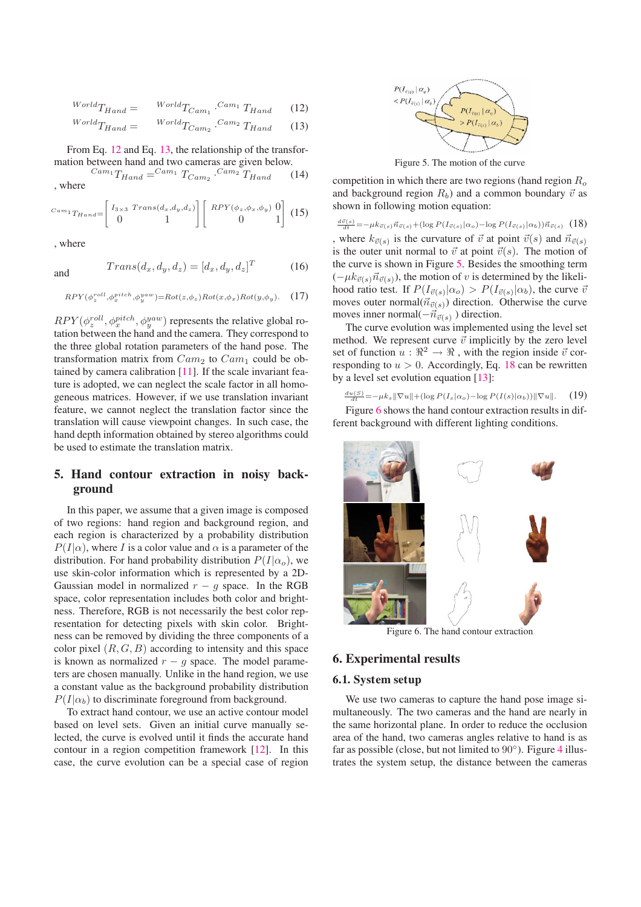$$
World_{Hand} = \frac{World_{Team_1} \cdot Cam_1 \cdot T_{Hand}}{W_{cell} \cdot T_{Hand}}
$$
 (12)

$$
World_{THand} = \qquad World_{Cam_2} \cdot Cam_2 T_{Hand} \qquad (13)
$$

From Eq. 12 and Eq. 13, the relationship of the transformation between hand and two cameras are given below.

$$
^{Cam_1}T_{Hand} = ^{Cam_1}T_{Cam_2} \cdot ^{Cam_2}T_{Hand} \qquad (14)
$$
, where

$$
^{Cam_1}T_{Hand} = \begin{bmatrix} I_{3\times 3} & Trans(d_x, d_y, d_z) \\ 0 & 1 \end{bmatrix} \begin{bmatrix} RPY(\phi_z, \phi_x, \phi_y) & 0 \\ 0 & 1 \end{bmatrix} \tag{15}
$$

, where

and 
$$
Trans(d_x, d_y, d_z) = [d_x, d_y, d_z]^T
$$
 (16)

$$
RPY(\phi_z^{roll}, \phi_x^{pitch}, \phi_y^{yaw}) = Rot(z, \phi_z)Rot(x, \phi_x)Rot(y, \phi_y).
$$
 (17)

 $RPY(\phi_z^{roll}, \phi_x^{pitch}, \phi_y^{yaw})$  represents the relative global rotation between the hand and the camera. They correspond to tation between the hand and the camera. They correspond to the three global rotation parameters of the hand pose. The transformation matrix from  $Cam_2$  to  $Cam_1$  could be obtained by camera calibration [11]. If the scale invariant feature is adopted, we can neglect the scale factor in all homogeneous matrices. However, if we use translation invariant feature, we cannot neglect the translation factor since the translation will cause viewpoint changes. In such case, the hand depth information obtained by stereo algorithms could be used to estimate the translation matrix.

# **5. Hand contour extraction in noisy background**

In this paper, we assume that a given image is composed of two regions: hand region and background region, and each region is characterized by a probability distribution  $P(I|\alpha)$ , where I is a color value and  $\alpha$  is a parameter of the distribution. For hand probability distribution  $P(I|\alpha_o)$ , we use skin-color information which is represented by a 2D-Gaussian model in normalized  $r - g$  space. In the RGB space, color representation includes both color and brightness. Therefore, RGB is not necessarily the best color representation for detecting pixels with skin color. Brightness can be removed by dividing the three components of a color pixel  $(R, G, B)$  according to intensity and this space is known as normalized  $r - q$  space. The model parameters are chosen manually. Unlike in the hand region, we use a constant value as the background probability distribution  $P(I|\alpha_b)$  to discriminate foreground from background.

To extract hand contour, we use an active contour model based on level sets. Given an initial curve manually selected, the curve is evolved until it finds the accurate hand contour in a region competition framework [12]. In this case, the curve evolution can be a special case of region



Figure 5. The motion of the curve

competition in which there are two regions (hand region  $R_o$ and background region  $R_b$ ) and a common boundary  $\vec{v}$  as shown in following motion equation:

 $\frac{d\vec{v}(s)}{dt} = -\mu k_{\vec{v}(s)} \vec{n}_{\vec{v}(s)} + (\log P(I_{\vec{v}(s)} | \alpha_o) - \log P(I_{\vec{v}(s)} | \alpha_b)) \vec{n}_{\vec{v}(s)}$  (18) , where  $k_{\vec{v}(s)}$  is the curvature of  $\vec{v}$  at point  $\vec{v}(s)$  and  $\vec{n}_{\vec{v}(s)}$  is the outer unit pormal to  $\vec{v}$  at point  $\vec{v}(s)$ . The motion of is the outer unit normal to  $\vec{v}$  at point  $\vec{v}(s)$ . The motion of the curve is shown in Figure 5. Besides the smoothing term  $(-\mu k_{\vec{v}(s)}\vec{n}_{\vec{v}(s)})$ , the motion of v is determined by the likeli-<br>bood ratio test. If  $P(I_{\text{rel}}(s)) > P(I_{\text{rel}}(s))$ , the curve  $\vec{v}$ hood ratio test. If  $P(I_{\vec{v}(s)}|\alpha_o) > P(I_{\vec{v}(s)}|\alpha_b)$ , the curve  $\vec{v}$ <br>moves outer normal( $\vec{v}$ <sub>7</sub>, ) direction. Otherwise the curve moves outer normal $(\vec{n}_{\vec{v}(s)})$  direction. Otherwise the curve moves inner normal $(-\vec{n}_{\vec{v}(s)})$  direction.<br>The surve symbolic was implemented.

The curve evolution was implemented using the level set method. We represent curve  $\vec{v}$  implicitly by the zero level set of function  $u : \mathbb{R}^2 \to \mathbb{R}$ , with the region inside  $\vec{v}$  corresponding to  $u > 0$ . Accordingly, Eq. 18 can be rewritten by a level set evolution equation [13]:

$$
\frac{du(S)}{dt} = -\mu k_s \|\nabla u\| + (\log P(I_s|\alpha_o) - \log P(I(s)|\alpha_b)) \|\nabla u\|. \tag{19}
$$

Figure 6 shows the hand contour extraction results in different background with different lighting conditions.



Figure 6. The hand contour extraction

### **6. Experimental results**

#### **6.1. System setup**

We use two cameras to capture the hand pose image simultaneously. The two cameras and the hand are nearly in the same horizontal plane. In order to reduce the occlusion area of the hand, two cameras angles relative to hand is as far as possible (close, but not limited to  $90^\circ$ ). Figure 4 illustrates the system setup, the distance between the cameras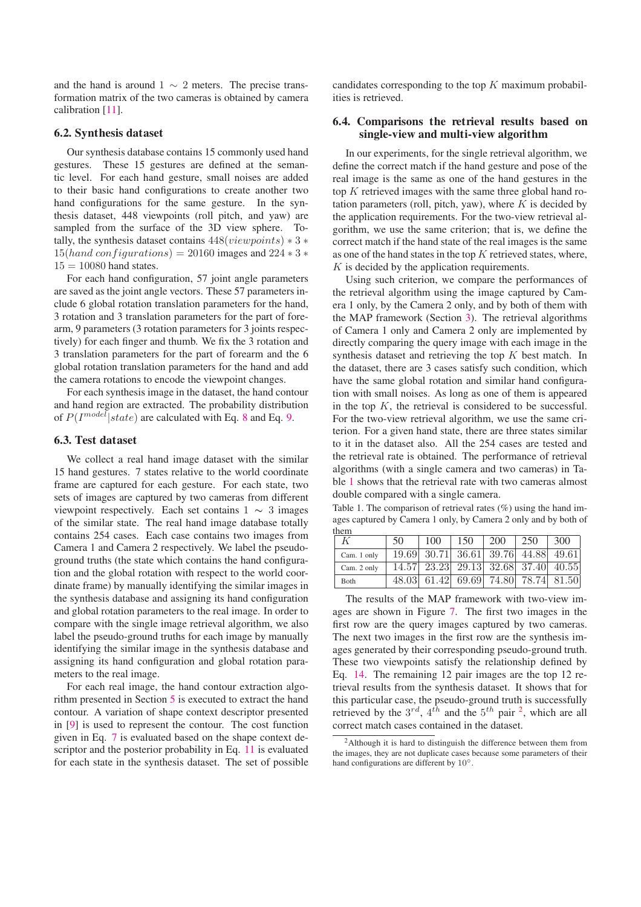and the hand is around  $1 \sim 2$  meters. The precise transformation matrix of the two cameras is obtained by camera calibration [11].

#### **6.2. Synthesis dataset**

Our synthesis database contains 15 commonly used hand gestures. These 15 gestures are defined at the semantic level. For each hand gesture, small noises are added to their basic hand configurations to create another two hand configurations for the same gesture. In the synthesis dataset, 448 viewpoints (roll pitch, and yaw) are sampled from the surface of the 3D view sphere. Totally, the synthesis dataset contains  $448(viewpoints) * 3 *$  $15(hand configurations) = 20160$  images and  $224 * 3 *$  $15 = 10080$  hand states.

For each hand configuration, 57 joint angle parameters are saved as the joint angle vectors. These 57 parameters include 6 global rotation translation parameters for the hand, 3 rotation and 3 translation parameters for the part of forearm, 9 parameters (3 rotation parameters for 3 joints respectively) for each finger and thumb. We fix the 3 rotation and 3 translation parameters for the part of forearm and the 6 global rotation translation parameters for the hand and add the camera rotations to encode the viewpoint changes.

For each synthesis image in the dataset, the hand contour and hand region are extracted. The probability distribution of  $P(I^{model}|state)$  are calculated with Eq. 8 and Eq. 9.

#### **6.3. Test dataset**

We collect a real hand image dataset with the similar 15 hand gestures. 7 states relative to the world coordinate frame are captured for each gesture. For each state, two sets of images are captured by two cameras from different viewpoint respectively. Each set contains  $1 \sim 3$  images of the similar state. The real hand image database totally contains 254 cases. Each case contains two images from Camera 1 and Camera 2 respectively. We label the pseudoground truths (the state which contains the hand configuration and the global rotation with respect to the world coordinate frame) by manually identifying the similar images in the synthesis database and assigning its hand configuration and global rotation parameters to the real image. In order to compare with the single image retrieval algorithm, we also label the pseudo-ground truths for each image by manually identifying the similar image in the synthesis database and assigning its hand configuration and global rotation parameters to the real image.

For each real image, the hand contour extraction algorithm presented in Section 5 is executed to extract the hand contour. A variation of shape context descriptor presented in [9] is used to represent the contour. The cost function given in Eq. 7 is evaluated based on the shape context descriptor and the posterior probability in Eq. 11 is evaluated for each state in the synthesis dataset. The set of possible candidates corresponding to the top  $K$  maximum probabilities is retrieved.

#### **6.4. Comparisons the retrieval results based on single-view and multi-view algorithm**

In our experiments, for the single retrieval algorithm, we define the correct match if the hand gesture and pose of the real image is the same as one of the hand gestures in the top  $K$  retrieved images with the same three global hand rotation parameters (roll, pitch, yaw), where  $K$  is decided by the application requirements. For the two-view retrieval algorithm, we use the same criterion; that is, we define the correct match if the hand state of the real images is the same as one of the hand states in the top  $K$  retrieved states, where,  $K$  is decided by the application requirements.

Using such criterion, we compare the performances of the retrieval algorithm using the image captured by Camera 1 only, by the Camera 2 only, and by both of them with the MAP framework (Section 3). The retrieval algorithms of Camera 1 only and Camera 2 only are implemented by directly comparing the query image with each image in the synthesis dataset and retrieving the top  $K$  best match. In the dataset, there are 3 cases satisfy such condition, which have the same global rotation and similar hand configuration with small noises. As long as one of them is appeared in the top  $K$ , the retrieval is considered to be successful. For the two-view retrieval algorithm, we use the same criterion. For a given hand state, there are three states similar to it in the dataset also. All the 254 cases are tested and the retrieval rate is obtained. The performance of retrieval algorithms (with a single camera and two cameras) in Table 1 shows that the retrieval rate with two cameras almost double compared with a single camera.

Table 1. The comparison of retrieval rates (%) using the hand images captured by Camera 1 only, by Camera 2 only and by both of them

| 19.69 30.71 36.61 39.76 44.88 49.61<br>Cam. 1 only<br>$\overline{14.57}$ $\overline{23.23}$ $\overline{29.13}$ $\overline{32.68}$ $\overline{37.40}$ $\overline{40.55}$<br>Cam. 2 only<br>48.03 61.42 69.69 74.80 78.74 81.50<br>Both | 50 | 100 | $150 \;   \;$ | $200 \pm 250$ | 300 |
|---------------------------------------------------------------------------------------------------------------------------------------------------------------------------------------------------------------------------------------|----|-----|---------------|---------------|-----|
|                                                                                                                                                                                                                                       |    |     |               |               |     |
|                                                                                                                                                                                                                                       |    |     |               |               |     |
|                                                                                                                                                                                                                                       |    |     |               |               |     |

The results of the MAP framework with two-view images are shown in Figure 7. The first two images in the first row are the query images captured by two cameras. The next two images in the first row are the synthesis images generated by their corresponding pseudo-ground truth. These two viewpoints satisfy the relationship defined by Eq. 14. The remaining 12 pair images are the top 12 retrieval results from the synthesis dataset. It shows that for this particular case, the pseudo-ground truth is successfully retrieved by the  $3^{rd}$ ,  $4^{th}$  and the  $5^{th}$  pair <sup>2</sup>, which are all correct match cases contained in the dataset.

<sup>&</sup>lt;sup>2</sup>Although it is hard to distinguish the difference between them from the images, they are not duplicate cases because some parameters of their hand configurations are different by 10<sup>°</sup>.